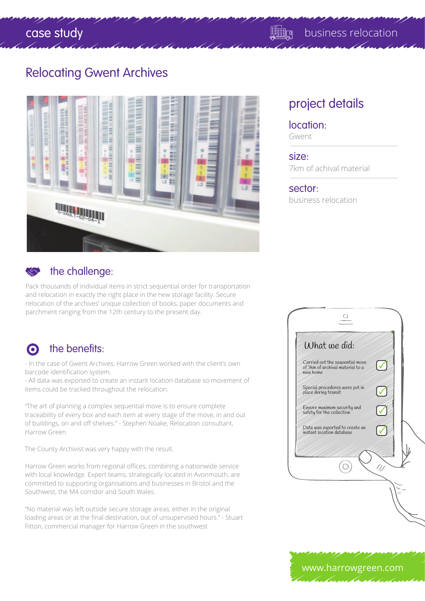### Relocating Gwent Archives





### the challenge:

Pack thousands of individual items in strict sequential order for transportation and relocation in exactly the right place in the new storage facility. Secure relocation of the archives' unique collection of books, paper documents and parchment ranging from the 12th century to the present day.

### o the benefits:

- In the case of Gwent Archives, Harrow Green worked with the client's own barcode identification system.

- All data was exported to create an instant location database so movement of items could be tracked throughout the relocation.

"The art of planning a complex sequential move is to ensure complete traceability of every box and each item at every stage of the move, in and out of buildings, on and off shelves." - Stephen Noake, Relocation consultant, Harrow Green

The County Archivist was very happy with the result.

Harrow Green works from regional offices, combining a nationwide service with local knowledge. Expert teams, strategically located in Avonmouth, are committed to supporting organisations and businesses in Bristol and the Southwest, the M4 corridor and South Wales.

"No material was left outside secure storage areas, either in the original loading areas or at the final destination, out of unsupervised hours." - Stuart Fitton, commercial manager for Harrow Green in the southwest

## project details

### location:

Gwent

#### size:

7km of achival material

#### sector:

business relocation

| What we did:<br>Carried out the sequential move             |  |
|-------------------------------------------------------------|--|
| of 7km of archival material to a<br>new home                |  |
| Special procedures were put in<br>place during transit      |  |
| Ensure maximum security and<br>safety for the collection    |  |
| Data was exported to create an<br>instant location database |  |
|                                                             |  |

www.harrowgreen.com